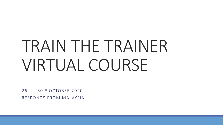# TRAIN THE TRAINER VIRTUAL COURSE

 $26$ <sup>TH</sup> – 30<sup>TH</sup> OCTOBER 2020 RESPONDS FROM MALAYSIA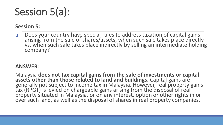### Session 5(a):

### **Session 5:**

a. Does your country have special rules to address taxation of capital gains arising from the sale of shares/assets, when such sale takes place directly vs. when such sale takes place indirectly by selling an intermediate holding company?

### **ANSWER**:

Malaysia **does not tax capital gains from the sale of investments or capital assets other than those related to land and buildings**. Capital gains are generally not subject to income tax in Malaysia. However, real property gains tax (RPGT) is levied on chargeable gains arising from the disposal of real property situated in Malaysia, or on any interest, option or other rights in or over such land, as well as the disposal of shares in real property companies.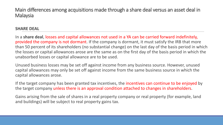Main differences among acquisitions made through a share deal versus an asset deal in Malaysia

#### **SHARE DEAL**

In a **share deal**, losses and capital allowances not used in a YA can be carried forward indefinitely, provided the company is not dormant. If the company is dormant, it must satisfy the IRB that more than 50 percent of its shareholders (no substantial change) on the last day of the basis period in which the losses or capital allowances arose are the same as on the first day of the basis period in which the unabsorbed losses or capital allowance are to be used.

Unused business losses may be set off against income from any business source. However, unused capital allowances may only be set off against income from the same business source in which the capital allowances arose.

If the target company has been granted tax incentives, the incentives can continue to be enjoyed by the target company unless there is an approval condition attached to changes in shareholders.

Gains arising from the sale of shares in a real property company or real property (for example, land and buildings) will be subject to real property gains tax.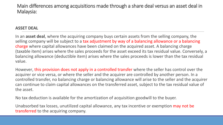Main differences among acquisitions made through a share deal versus an asset deal in Malaysia:

#### **ASSET DEAL**

In an **asset deal**, where the acquiring company buys certain assets from the selling company, the selling company will be subject to a tax adjustment by way of a balancing allowance or a balancing charge where capital allowances have been claimed on the acquired asset. A balancing charge (taxable item) arises where the sales proceeds for the asset exceed its tax residual value. Conversely, a balancing allowance (deductible item) arises where the sales proceeds is lower than the tax residual value.

However, this provision does not apply in a controlled transfer where the seller has control over the acquirer or vice versa, or where the seller and the acquirer are controlled by another person. In a controlled transfer, no balancing charge or balancing allowance will arise to the seller and the acquirer can continue to claim capital allowances on the transferred asset, subject to the tax residual value of the asset.

No tax deduction is available for the amortization of acquisition goodwill to the buyer.

Unabsorbed tax losses, unutilized capital allowance, any tax incentive or exemption may not be transferred to the acquiring company.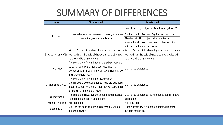### SUMMARY OF DIFFERENCES

| <b>Items</b>       | <b>Shares deal</b>                                                            | <b>Assets deal</b>                                                                                        |
|--------------------|-------------------------------------------------------------------------------|-----------------------------------------------------------------------------------------------------------|
|                    |                                                                               | Land & building: subject to Real Property Gains Tax                                                       |
| Profit on sales    | Unless seller is in the business of dealing in shares,                        | Trading stocks: Section 4(a) Business Income                                                              |
|                    | no capital gains tax applicable                                               | Fixed Assets: Not subject to income tax but                                                               |
|                    |                                                                               | transactions between unrelated parties would be                                                           |
|                    |                                                                               | subject to balancing adjustments.                                                                         |
|                    |                                                                               | With sufficient retained earnings, the cash proceeds With sufficient retained earnings, the cash proceeds |
|                    | Distribution of profits   received from the sale of shares can be distributed | received from the sale of assets can be distributed                                                       |
|                    | as dividend to shareholders                                                   | las dividend to shareholders.                                                                             |
|                    | Allowed to carry forward accumulated tax losses to                            | May not be transferred                                                                                    |
| Tax Losses         | be set off againts the future business income,                                |                                                                                                           |
|                    | except for dormant company or substantial change                              |                                                                                                           |
|                    | in shareholders (>50%)                                                        |                                                                                                           |
|                    | Allowed to carry forward unutilised capital                                   | May not be transferred                                                                                    |
| Capital allowances | allowances to be set off againts the future business                          |                                                                                                           |
|                    | income, except for dormant company or substantial                             |                                                                                                           |
|                    | change in shareholders (>50%)                                                 |                                                                                                           |
| T ax Incentives    | Allowed to continue, subject to conditions attached                           | May not be transferred. Buyer need to submit a new                                                        |
|                    | regarding change in shareholders                                              | application.                                                                                              |
| Transaction costs  | Not deductible                                                                | Not deductible                                                                                            |
| Stamp duty         | 0.3% on the consideration paid or market value of                             | Ranging from 1%-4% on the market value of the                                                             |
|                    | the shares (WEH)                                                              | dutiable properties                                                                                       |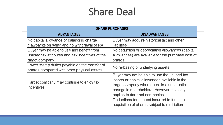### Share Deal

| <b>SHARE PURCHASES</b>                           |                                                    |  |  |
|--------------------------------------------------|----------------------------------------------------|--|--|
| <b>ADVANTAGES</b>                                | <b>DISADVANTAGES</b>                               |  |  |
| No capital allowance or balancing charge         | Buyer may acquire historical tax and other         |  |  |
| clawbacks on seller and no withdrawal of RA      | <b>liabilities</b>                                 |  |  |
| Buyer may be able to use and benefit from        | No deduction or depreciation allowances (capital   |  |  |
| unused tax attributes and, tax incentives of the | allowances) are available for the purchase cost of |  |  |
| target company                                   | shares                                             |  |  |
| Lower stamp duties payable on the transfer of    | No re-basing of underlying assets                  |  |  |
| shares compared with other physical assets       |                                                    |  |  |
|                                                  | Buyer may not be able to use the unused tax        |  |  |
| Target company may continue to enjoy tax         | losses or capital allowances available in the      |  |  |
| <i>incentives</i>                                | target company where there is a substantial        |  |  |
|                                                  | change in shareholders. However, this only         |  |  |
|                                                  | applies to dormant companies                       |  |  |
|                                                  | Deductions for interest incurred to fund the       |  |  |
|                                                  | acquisition of shares subject to restriction       |  |  |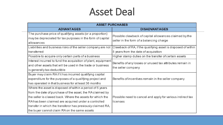### Asset Deal

| <b>ASSET PURCHASES</b>                                                                                                                                                                                                                     |                                                                                                       |  |  |
|--------------------------------------------------------------------------------------------------------------------------------------------------------------------------------------------------------------------------------------------|-------------------------------------------------------------------------------------------------------|--|--|
| <b>ADVANTAGES</b>                                                                                                                                                                                                                          | <b>DISADVANTAGES</b>                                                                                  |  |  |
| The purchase price of qualifying assets (or a proportion)<br>may be depreciated for tax purposes in the form of capital<br>allowances                                                                                                      | Possible clawback of capital allowances claimed by the<br>seller in the form of a balancing charge    |  |  |
| Liabilities and business risks of the seller company are not<br>transferred                                                                                                                                                                | Clawback of RA, if the qualifying asset is disposed of within<br>5 years from the date of acquisition |  |  |
| Possible to acquire only certain parts of a business                                                                                                                                                                                       | Higher stamp duties on the transfer of certain assets                                                 |  |  |
| Interest incurred to fund the acquisition of plant, equipment<br>and other assets that will be used in the trade or business<br>is generally tax-deductible                                                                                | Benefits of any losses or unused tax attributes remain in<br>the seller company                       |  |  |
| Buyer may claim RA if it has incurred qualifying capital<br>expenditure for the purposes of a qualifying project and<br>has operated in that business for at least 36 months                                                               | Benefits of incentives remain in the seller company                                                   |  |  |
| Where the asset is disposed of within a period of 5 years<br>from the date of purchase of the asset, the RA claimed by<br>the seller is clawed back. Where the assets for which the<br>RA has been claimed are acquired under a controlled | Possible need to cancel and apply for various indirect tax<br>llicenses                               |  |  |
| transfer in which the transferor has previously claimed RA,<br>the buyer cannot claim RA on the same assets                                                                                                                                |                                                                                                       |  |  |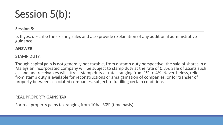### Session 5(b):

#### **Session 5:**

b. If yes, describe the existing rules and also provide explanation of any additional administrative guidance.

#### **ANSWER**:

#### STAMP DUTY:

Though capital gain is not generally not taxable, from a stamp duty perspective, the sale of shares in a Malaysian incorporated company will be subject to stamp duty at the rate of 0.3%. Sale of assets such as land and receivables will attract stamp duty at rates ranging from 1% to 4%. Nevertheless, relief from stamp duty is available for reconstructions or amalgamation of companies, or for transfer of property between associated companies, subject to fulfilling certain conditions.

#### REAL PROPERTY GAINS TAX:

For real property gains tax ranging from 10% - 30% (time basis).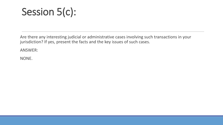### Session 5(c):

Are there any interesting judicial or administrative cases involving such transactions in your jurisdiction? If yes, present the facts and the key issues of such cases.

ANSWER:

NONE.